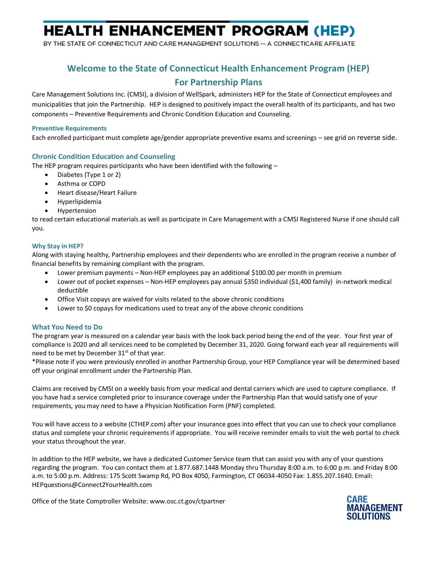# **HEALTH ENHANCEMENT PROGRAM (HEP)**

BY THE STATE OF CONNECTICUT AND CARE MANAGEMENT SOLUTIONS -- A CONNECTICARE AFFILIATE

## **Welcome to the State of Connecticut Health Enhancement Program (HEP) For Partnership Plans**

Care Management Solutions Inc. (CMSI), a division of WellSpark, administers HEP for the State of Connecticut employees and municipalities that join the Partnership. HEP is designed to positively impact the overall health of its participants, and has two components – Preventive Requirements and Chronic Condition Education and Counseling.

#### **Preventive Requirements**

Each enrolled participant must complete age/gender appropriate preventive exams and screenings – see grid on reverse side.

### **Chronic Condition Education and Counseling**

The HEP program requires participants who have been identified with the following –

- Diabetes (Type 1 or 2)
- Asthma or COPD
- Heart disease/Heart Failure
- Hyperlipidemia
- Hypertension

to read certain educational materials as well as participate in Care Management with a CMSI Registered Nurse if one should call you.

#### **Why Stay in HEP?**

Along with staying healthy, Partnership employees and their dependents who are enrolled in the program receive a number of financial benefits by remaining compliant with the program.

- Lower premium payments Non-HEP employees pay an additional \$100.00 per month in premium
- Lower out of pocket expenses Non-HEP employees pay annual \$350 individual (\$1,400 family) in-network medical deductible
- Office Visit copays are waived for visits related to the above chronic conditions
- Lower to \$0 copays for medications used to treat any of the above chronic conditions

### **What You Need to Do**

The program year is measured on a calendar year basis with the look back period being the end of the year. Your first year of compliance is 2020 and all services need to be completed by December 31, 2020. Going forward each year all requirements will need to be met by December 31<sup>st</sup> of that year.

\*Please note if you were previously enrolled in another Partnership Group, your HEP Compliance year will be determined based off your original enrollment under the Partnership Plan.

Claims are received by CMSI on a weekly basis from your medical and dental carriers which are used to capture compliance. If you have had a service completed prior to insurance coverage under the Partnership Plan that would satisfy one of your requirements, you may need to have a Physician Notification Form (PNF) completed.

You will have access to a website (CTHEP.com) after your insurance goes into effect that you can use to check your compliance status and complete your chronic requirements if appropriate. You will receive reminder emails to visit the web portal to check your status throughout the year.

In addition to the HEP website, we have a dedicated Customer Service team that can assist you with any of your questions regarding the program. You can contact them at 1.877.687.1448 Monday thru Thursday 8:00 a.m. to 6:00 p.m. and Friday 8:00 a.m. to 5:00 p.m. Address: 175 Scott Swamp Rd, PO Box 4050, Farmington, CT 06034-4050 Fax: 1.855.207.1640. Email**:** [HEPquestions@Connect2YourHealth.com](mailto:HEPquestions@Connect2YourHealth.com?subject=New%20HEP%20Question)

Office of the State Comptroller Website: www.osc.ct.gov/ctpartner